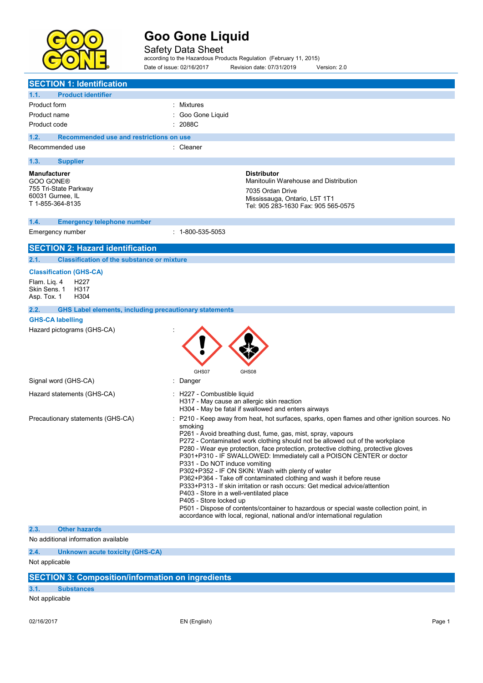

Safety Data Sheet according to the Hazardous Products Regulation (February 11, 2015) Date of issue: 02/16/2017 Revision date: 07/31/2019 Version: 2.0

| <b>SECTION 1: Identification</b>                                                                  |                                                                                                                                                                                                                                                                                                                                                                                                                                                                                                                                                                                                                                                                                                                                                                                                                 |
|---------------------------------------------------------------------------------------------------|-----------------------------------------------------------------------------------------------------------------------------------------------------------------------------------------------------------------------------------------------------------------------------------------------------------------------------------------------------------------------------------------------------------------------------------------------------------------------------------------------------------------------------------------------------------------------------------------------------------------------------------------------------------------------------------------------------------------------------------------------------------------------------------------------------------------|
| 1.1.<br><b>Product identifier</b>                                                                 |                                                                                                                                                                                                                                                                                                                                                                                                                                                                                                                                                                                                                                                                                                                                                                                                                 |
| Product form                                                                                      | Mixtures                                                                                                                                                                                                                                                                                                                                                                                                                                                                                                                                                                                                                                                                                                                                                                                                        |
| Product name                                                                                      | Goo Gone Liquid                                                                                                                                                                                                                                                                                                                                                                                                                                                                                                                                                                                                                                                                                                                                                                                                 |
| Product code                                                                                      | 2088C                                                                                                                                                                                                                                                                                                                                                                                                                                                                                                                                                                                                                                                                                                                                                                                                           |
| 1.2.<br>Recommended use and restrictions on use                                                   |                                                                                                                                                                                                                                                                                                                                                                                                                                                                                                                                                                                                                                                                                                                                                                                                                 |
| Recommended use                                                                                   | : Cleaner                                                                                                                                                                                                                                                                                                                                                                                                                                                                                                                                                                                                                                                                                                                                                                                                       |
| 1.3.<br><b>Supplier</b>                                                                           |                                                                                                                                                                                                                                                                                                                                                                                                                                                                                                                                                                                                                                                                                                                                                                                                                 |
| <b>Manufacturer</b><br>GOO GONE®<br>755 Tri-State Parkway<br>60031 Gurnee, IL<br>T 1-855-364-8135 | <b>Distributor</b><br>Manitoulin Warehouse and Distribution<br>7035 Ordan Drive<br>Mississauga, Ontario, L5T 1T1<br>Tel: 905 283-1630 Fax: 905 565-0575                                                                                                                                                                                                                                                                                                                                                                                                                                                                                                                                                                                                                                                         |
| 1.4.<br><b>Emergency telephone number</b>                                                         |                                                                                                                                                                                                                                                                                                                                                                                                                                                                                                                                                                                                                                                                                                                                                                                                                 |
| Emergency number                                                                                  | $: 1 - 800 - 535 - 5053$                                                                                                                                                                                                                                                                                                                                                                                                                                                                                                                                                                                                                                                                                                                                                                                        |
| <b>SECTION 2: Hazard identification</b>                                                           |                                                                                                                                                                                                                                                                                                                                                                                                                                                                                                                                                                                                                                                                                                                                                                                                                 |
| 2.1.<br><b>Classification of the substance or mixture</b>                                         |                                                                                                                                                                                                                                                                                                                                                                                                                                                                                                                                                                                                                                                                                                                                                                                                                 |
| <b>Classification (GHS-CA)</b>                                                                    |                                                                                                                                                                                                                                                                                                                                                                                                                                                                                                                                                                                                                                                                                                                                                                                                                 |
| Flam. Liq. 4<br>H <sub>22</sub> 7                                                                 |                                                                                                                                                                                                                                                                                                                                                                                                                                                                                                                                                                                                                                                                                                                                                                                                                 |
| Skin Sens. 1<br>H317                                                                              |                                                                                                                                                                                                                                                                                                                                                                                                                                                                                                                                                                                                                                                                                                                                                                                                                 |
| Asp. Tox. 1<br>H304                                                                               |                                                                                                                                                                                                                                                                                                                                                                                                                                                                                                                                                                                                                                                                                                                                                                                                                 |
| <b>GHS Label elements, including precautionary statements</b><br>2.2.                             |                                                                                                                                                                                                                                                                                                                                                                                                                                                                                                                                                                                                                                                                                                                                                                                                                 |
| <b>GHS-CA labelling</b>                                                                           |                                                                                                                                                                                                                                                                                                                                                                                                                                                                                                                                                                                                                                                                                                                                                                                                                 |
| Hazard pictograms (GHS-CA)                                                                        |                                                                                                                                                                                                                                                                                                                                                                                                                                                                                                                                                                                                                                                                                                                                                                                                                 |
|                                                                                                   | GHS07<br>GHS08                                                                                                                                                                                                                                                                                                                                                                                                                                                                                                                                                                                                                                                                                                                                                                                                  |
| Signal word (GHS-CA)                                                                              | Danger                                                                                                                                                                                                                                                                                                                                                                                                                                                                                                                                                                                                                                                                                                                                                                                                          |
| Hazard statements (GHS-CA)                                                                        | : H227 - Combustible liquid<br>H317 - May cause an allergic skin reaction<br>H304 - May be fatal if swallowed and enters airways                                                                                                                                                                                                                                                                                                                                                                                                                                                                                                                                                                                                                                                                                |
| Precautionary statements (GHS-CA)                                                                 | P210 - Keep away from heat, hot surfaces, sparks, open flames and other ignition sources. No                                                                                                                                                                                                                                                                                                                                                                                                                                                                                                                                                                                                                                                                                                                    |
|                                                                                                   | smoking<br>P261 - Avoid breathing dust, fume, gas, mist, spray, vapours<br>P272 - Contaminated work clothing should not be allowed out of the workplace<br>P280 - Wear eye protection, face protection, protective clothing, protective gloves<br>P301+P310 - IF SWALLOWED: Immediately call a POISON CENTER or doctor<br>P331 - Do NOT induce vomiting<br>P302+P352 - IF ON SKIN: Wash with plenty of water<br>P362+P364 - Take off contaminated clothing and wash it before reuse<br>P333+P313 - If skin irritation or rash occurs: Get medical advice/attention<br>P403 - Store in a well-ventilated place<br>P405 - Store locked up<br>P501 - Dispose of contents/container to hazardous or special waste collection point, in<br>accordance with local, regional, national and/or international regulation |
| 2.3.<br><b>Other hazards</b>                                                                      |                                                                                                                                                                                                                                                                                                                                                                                                                                                                                                                                                                                                                                                                                                                                                                                                                 |
| No additional information available                                                               |                                                                                                                                                                                                                                                                                                                                                                                                                                                                                                                                                                                                                                                                                                                                                                                                                 |
| 2.4.<br><b>Unknown acute toxicity (GHS-CA)</b>                                                    |                                                                                                                                                                                                                                                                                                                                                                                                                                                                                                                                                                                                                                                                                                                                                                                                                 |
| Not applicable                                                                                    |                                                                                                                                                                                                                                                                                                                                                                                                                                                                                                                                                                                                                                                                                                                                                                                                                 |
| <b>SECTION 3: Composition/information on ingredients</b>                                          |                                                                                                                                                                                                                                                                                                                                                                                                                                                                                                                                                                                                                                                                                                                                                                                                                 |
| 3.1.<br><b>Substances</b>                                                                         |                                                                                                                                                                                                                                                                                                                                                                                                                                                                                                                                                                                                                                                                                                                                                                                                                 |
| Not applicable                                                                                    |                                                                                                                                                                                                                                                                                                                                                                                                                                                                                                                                                                                                                                                                                                                                                                                                                 |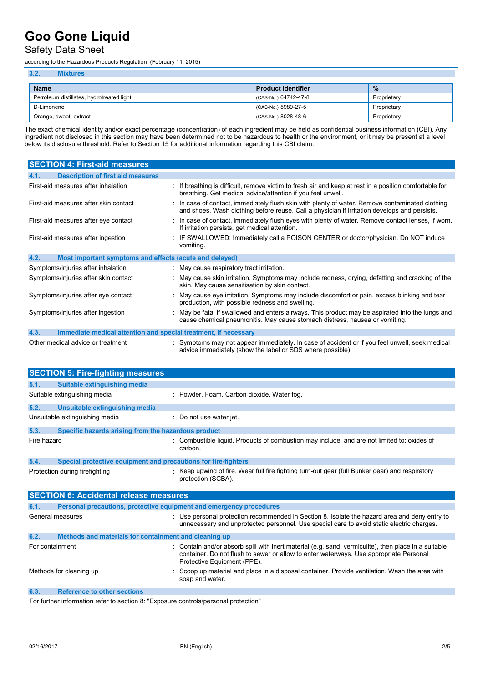### Safety Data Sheet

according to the Hazardous Products Regulation (February 11, 2015)

| 3.2.<br><b>Mixtures</b>                   |                           |             |
|-------------------------------------------|---------------------------|-------------|
| <b>Name</b>                               | <b>Product identifier</b> | $\%$        |
| Petroleum distillates, hydrotreated light | (CAS-No.) 64742-47-8      | Proprietary |
| D-Limonene                                | (CAS-No.) 5989-27-5       | Proprietary |
| Orange, sweet, extract                    | (CAS-No.) 8028-48-6       | Proprietary |

The exact chemical identity and/or exact percentage (concentration) of each ingredient may be held as confidential business information (CBI). Any ingredient not disclosed in this section may have been determined not to be hazardous to health or the environment, or it may be present at a level below its disclosure threshold. Refer to Section 15 for additional information regarding this CBI claim.

| <b>SECTION 4: First-aid measures</b>                                    |                                                                                                                                                                                                 |
|-------------------------------------------------------------------------|-------------------------------------------------------------------------------------------------------------------------------------------------------------------------------------------------|
| <b>Description of first aid measures</b><br>4.1.                        |                                                                                                                                                                                                 |
| First-aid measures after inhalation                                     | : If breathing is difficult, remove victim to fresh air and keep at rest in a position comfortable for<br>breathing. Get medical advice/attention if you feel unwell.                           |
| First-aid measures after skin contact                                   | : In case of contact, immediately flush skin with plenty of water. Remove contaminated clothing<br>and shoes. Wash clothing before reuse. Call a physician if irritation develops and persists. |
| First-aid measures after eye contact                                    | : In case of contact, immediately flush eyes with plenty of water. Remove contact lenses, if worn.<br>If irritation persists, get medical attention.                                            |
| First-aid measures after ingestion                                      | : IF SWALLOWED: Immediately call a POISON CENTER or doctor/physician. Do NOT induce<br>vomiting.                                                                                                |
| 4.2.<br>Most important symptoms and effects (acute and delayed)         |                                                                                                                                                                                                 |
| Symptoms/injuries after inhalation                                      | : May cause respiratory tract irritation.                                                                                                                                                       |
| Symptoms/injuries after skin contact                                    | : May cause skin irritation. Symptoms may include redness, drying, defatting and cracking of the<br>skin. May cause sensitisation by skin contact.                                              |
| Symptoms/injuries after eye contact                                     | : May cause eye irritation. Symptoms may include discomfort or pain, excess blinking and tear<br>production, with possible redness and swelling.                                                |
| Symptoms/injuries after ingestion                                       | May be fatal if swallowed and enters airways. This product may be aspirated into the lungs and<br>cause chemical pneumonitis. May cause stomach distress, nausea or vomiting.                   |
| 4.3.<br>Immediate medical attention and special treatment, if necessary |                                                                                                                                                                                                 |
| Other medical advice or treatment                                       | : Symptoms may not appear immediately. In case of accident or if you feel unwell, seek medical<br>advice immediately (show the label or SDS where possible).                                    |

|             | <b>SECTION 5: Fire-fighting measures</b>                            |                                                                                                                                                                                                                             |
|-------------|---------------------------------------------------------------------|-----------------------------------------------------------------------------------------------------------------------------------------------------------------------------------------------------------------------------|
| 5.1.        | Suitable extinguishing media                                        |                                                                                                                                                                                                                             |
|             | Suitable extinguishing media                                        | : Powder. Foam. Carbon dioxide. Water fog.                                                                                                                                                                                  |
| 5.2.        | Unsuitable extinguishing media                                      |                                                                                                                                                                                                                             |
|             | Unsuitable extinguishing media                                      | Do not use water jet.                                                                                                                                                                                                       |
| 5.3.        | Specific hazards arising from the hazardous product                 |                                                                                                                                                                                                                             |
| Fire hazard |                                                                     | : Combustible liquid. Products of combustion may include, and are not limited to: oxides of<br>carbon.                                                                                                                      |
| 5.4.        | Special protective equipment and precautions for fire-fighters      |                                                                                                                                                                                                                             |
|             | Protection during firefighting                                      | : Keep upwind of fire. Wear full fire fighting turn-out gear (full Bunker gear) and respiratory<br>protection (SCBA).                                                                                                       |
|             |                                                                     |                                                                                                                                                                                                                             |
|             | <b>SECTION 6: Accidental release measures</b>                       |                                                                                                                                                                                                                             |
| 6.1.        | Personal precautions, protective equipment and emergency procedures |                                                                                                                                                                                                                             |
|             | General measures                                                    | $\therefore$ Use personal protection recommended in Section 8. Isolate the hazard area and deny entry to<br>unnecessary and unprotected personnel. Use special care to avoid static electric charges.                       |
| 6.2.        | Methods and materials for containment and cleaning up               |                                                                                                                                                                                                                             |
|             | For containment                                                     | Contain and/or absorb spill with inert material (e.g. sand, vermiculite), then place in a suitable<br>container. Do not flush to sewer or allow to enter waterways. Use appropriate Personal<br>Protective Equipment (PPE). |
|             | Methods for cleaning up                                             | Scoop up material and place in a disposal container. Provide ventilation. Wash the area with<br>soap and water.                                                                                                             |
| 6.3.        | <b>Reference to other sections</b>                                  |                                                                                                                                                                                                                             |

For further information refer to section 8: "Exposure controls/personal protection"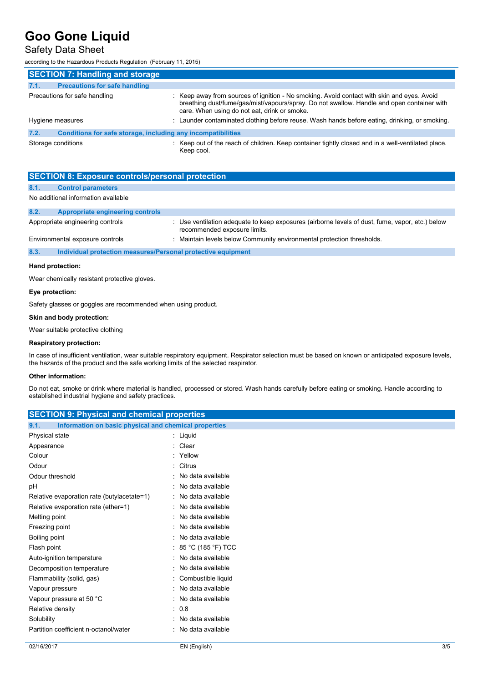### Safety Data Sheet

according to the Hazardous Products Regulation (February 11, 2015)

| <b>SECTION 7: Handling and storage</b>                               |                                                                                                                                                                                                                                          |
|----------------------------------------------------------------------|------------------------------------------------------------------------------------------------------------------------------------------------------------------------------------------------------------------------------------------|
| <b>Precautions for safe handling</b><br>7.1.                         |                                                                                                                                                                                                                                          |
| Precautions for safe handling                                        | : Keep away from sources of ignition - No smoking. Avoid contact with skin and eyes. Avoid<br>breathing dust/fume/gas/mist/vapours/spray. Do not swallow. Handle and open container with<br>care. When using do not eat, drink or smoke. |
| Hygiene measures                                                     | : Launder contaminated clothing before reuse. Wash hands before eating, drinking, or smoking.                                                                                                                                            |
| 7.2.<br>Conditions for safe storage, including any incompatibilities |                                                                                                                                                                                                                                          |
| Storage conditions                                                   | : Keep out of the reach of children. Keep container tightly closed and in a well-ventilated place.<br>Keep cool.                                                                                                                         |

|      | <b>SECTION 8: Exposure controls/personal protection</b>      |                                                                                                                                 |
|------|--------------------------------------------------------------|---------------------------------------------------------------------------------------------------------------------------------|
| 8.1. | <b>Control parameters</b>                                    |                                                                                                                                 |
|      | No additional information available                          |                                                                                                                                 |
| 8.2. | Appropriate engineering controls                             |                                                                                                                                 |
|      | Appropriate engineering controls                             | : Use ventilation adequate to keep exposures (airborne levels of dust, fume, vapor, etc.) below<br>recommended exposure limits. |
|      | Environmental exposure controls                              | : Maintain levels below Community environmental protection thresholds.                                                          |
| 8.3. | Individual protection measures/Personal protective equipment |                                                                                                                                 |
|      | Hand protection:                                             |                                                                                                                                 |

Wear chemically resistant protective gloves.

#### **Eye protection:**

Safety glasses or goggles are recommended when using product.

#### **Skin and body protection:**

Wear suitable protective clothing

#### **Respiratory protection:**

In case of insufficient ventilation, wear suitable respiratory equipment. Respirator selection must be based on known or anticipated exposure levels, the hazards of the product and the safe working limits of the selected respirator.

#### **Other information:**

Do not eat, smoke or drink where material is handled, processed or stored. Wash hands carefully before eating or smoking. Handle according to established industrial hygiene and safety practices.

| <b>SECTION 9: Physical and chemical properties</b>            |                      |  |
|---------------------------------------------------------------|----------------------|--|
| Information on basic physical and chemical properties<br>9.1. |                      |  |
| Physical state                                                | : Liquid             |  |
| Appearance                                                    | Clear<br>۰.          |  |
| Colour                                                        | Yellow               |  |
| Odour                                                         | : Citrus             |  |
| Odour threshold                                               | · No data available  |  |
| pH                                                            | : No data available  |  |
| Relative evaporation rate (butylacetate=1)                    | : No data available  |  |
| Relative evaporation rate (ether=1)                           | : No data available  |  |
| Melting point                                                 | : No data available  |  |
| Freezing point                                                | : No data available  |  |
| Boiling point                                                 | : No data available  |  |
| Flash point                                                   | : 85 °C (185 °F) TCC |  |
| Auto-ignition temperature                                     | : No data available  |  |
| Decomposition temperature                                     | : No data available  |  |
| Flammability (solid, gas)                                     | Combustible liquid   |  |
| Vapour pressure                                               | : No data available  |  |
| Vapour pressure at 50 °C                                      | : No data available  |  |
| Relative density                                              | $\therefore$ 0.8     |  |
| Solubility                                                    | · No data available  |  |
| Partition coefficient n-octanol/water                         | : No data available  |  |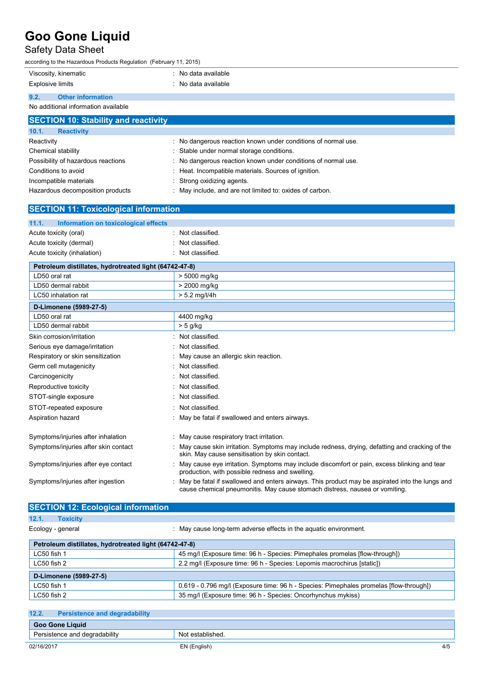## Safety Data Sheet

according to the Hazardous Products Regulation (February 11, 2015)

|                                     | Viscosity, kinematic                 | : No data available |
|-------------------------------------|--------------------------------------|---------------------|
| Explosive limits                    |                                      | : No data available |
| 9.2.                                | <b>Other information</b>             |                     |
| No additional information available |                                      |                     |
|                                     | SECTION 10: Stability and reactivity |                     |

| 10.1.<br><b>Reactivity</b>         |                                                               |
|------------------------------------|---------------------------------------------------------------|
| Reactivity                         | : No dangerous reaction known under conditions of normal use. |
| Chemical stability                 | : Stable under normal storage conditions.                     |
| Possibility of hazardous reactions | : No dangerous reaction known under conditions of normal use. |
| Conditions to avoid                | : Heat. Incompatible materials. Sources of ignition.          |
| Incompatible materials             | : Strong oxidizing agents.                                    |
| Hazardous decomposition products   | : May include, and are not limited to: oxides of carbon.      |

| <b>SECTION 11: Toxicological information</b>           |                                                                                                                                                                               |  |
|--------------------------------------------------------|-------------------------------------------------------------------------------------------------------------------------------------------------------------------------------|--|
| 11.1.<br>Information on toxicological effects          |                                                                                                                                                                               |  |
| Acute toxicity (oral)                                  | Not classified.                                                                                                                                                               |  |
| Acute toxicity (dermal)                                | Not classified.                                                                                                                                                               |  |
| Acute toxicity (inhalation)                            | Not classified.                                                                                                                                                               |  |
| Petroleum distillates, hydrotreated light (64742-47-8) |                                                                                                                                                                               |  |
| LD50 oral rat                                          | > 5000 mg/kg                                                                                                                                                                  |  |
| LD50 dermal rabbit                                     | > 2000 mg/kg                                                                                                                                                                  |  |
| LC50 inhalation rat                                    | $> 5.2$ mg/l/4h                                                                                                                                                               |  |
| D-Limonene (5989-27-5)                                 |                                                                                                                                                                               |  |
| LD50 oral rat                                          | 4400 mg/kg                                                                                                                                                                    |  |
| LD50 dermal rabbit                                     | $> 5$ g/kg                                                                                                                                                                    |  |
| Skin corrosion/irritation                              | Not classified.                                                                                                                                                               |  |
| Serious eye damage/irritation                          | Not classified.                                                                                                                                                               |  |
| Respiratory or skin sensitization                      | May cause an allergic skin reaction.                                                                                                                                          |  |
| Germ cell mutagenicity                                 | Not classified.                                                                                                                                                               |  |
| Carcinogenicity                                        | Not classified.                                                                                                                                                               |  |
| Reproductive toxicity                                  | Not classified.                                                                                                                                                               |  |
| STOT-single exposure                                   | Not classified.                                                                                                                                                               |  |
| STOT-repeated exposure                                 | Not classified.                                                                                                                                                               |  |
| Aspiration hazard                                      | May be fatal if swallowed and enters airways.                                                                                                                                 |  |
| Symptoms/injuries after inhalation                     | May cause respiratory tract irritation.                                                                                                                                       |  |
| Symptoms/injuries after skin contact                   | May cause skin irritation. Symptoms may include redness, drying, defatting and cracking of the<br>skin. May cause sensitisation by skin contact.                              |  |
| Symptoms/injuries after eye contact                    | May cause eye irritation. Symptoms may include discomfort or pain, excess blinking and tear<br>production, with possible redness and swelling.                                |  |
| Symptoms/injuries after ingestion                      | May be fatal if swallowed and enters airways. This product may be aspirated into the lungs and<br>cause chemical pneumonitis. May cause stomach distress, nausea or vomiting. |  |

### **SECTION 12: Ecological information 12.1. Toxicity**

| Ecology - general |  |
|-------------------|--|
|                   |  |

Ecology - general **Ecology** - general strategy of the aquatic environment.

| Petroleum distillates, hydrotreated light (64742-47-8) |                                                                                        |  |
|--------------------------------------------------------|----------------------------------------------------------------------------------------|--|
| LC50 fish 1                                            | 45 mg/l (Exposure time: 96 h - Species: Pimephales promelas [flow-through])            |  |
| LC50 fish 2                                            | 2.2 mg/l (Exposure time: 96 h - Species: Lepomis macrochirus [static])                 |  |
| D-Limonene (5989-27-5)                                 |                                                                                        |  |
| LC50 fish 1                                            | 0.619 - 0.796 mg/l (Exposure time: 96 h - Species: Pimephales promelas [flow-through]) |  |
| LC50 fish 2                                            | 35 mg/l (Exposure time: 96 h - Species: Oncorhynchus mykiss)                           |  |

| 12.2.                         | <b>Persistence and degradability</b> |                  |     |
|-------------------------------|--------------------------------------|------------------|-----|
| <b>Goo Gone Liquid</b>        |                                      |                  |     |
| Persistence and degradability |                                      | Not established. |     |
| 02/16/2017                    |                                      | EN (English)     | 4/5 |